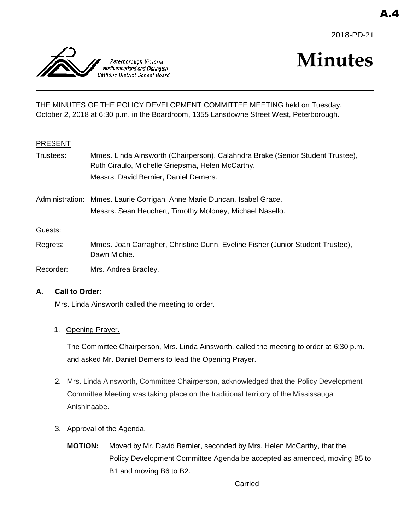



# **Minutes**

THE MINUTES OF THE POLICY DEVELOPMENT COMMITTEE MEETING held on Tuesday, October 2, 2018 at 6:30 p.m. in the Boardroom, 1355 Lansdowne Street West, Peterborough.

# PRESENT

- Trustees: Mmes. Linda Ainsworth (Chairperson), Calahndra Brake (Senior Student Trustee), Ruth Ciraulo, Michelle Griepsma, Helen McCarthy. Messrs. David Bernier, Daniel Demers.
- Administration: Mmes. Laurie Corrigan, Anne Marie Duncan, Isabel Grace. Messrs. Sean Heuchert, Timothy Moloney, Michael Nasello.

Guests:

Regrets: Mmes. Joan Carragher, Christine Dunn, Eveline Fisher (Junior Student Trustee), Dawn Michie.

Recorder: Mrs. Andrea Bradley.

#### **A. Call to Order**:

Mrs. Linda Ainsworth called the meeting to order.

#### 1. Opening Prayer.

The Committee Chairperson, Mrs. Linda Ainsworth, called the meeting to order at 6:30 p.m. and asked Mr. Daniel Demers to lead the Opening Prayer.

- 2. Mrs. Linda Ainsworth, Committee Chairperson, acknowledged that the Policy Development Committee Meeting was taking place on the traditional territory of the Mississauga Anishinaabe.
- 3. Approval of the Agenda.
	- **MOTION:** Moved by Mr. David Bernier, seconded by Mrs. Helen McCarthy, that the Policy Development Committee Agenda be accepted as amended, moving B5 to B1 and moving B6 to B2.

Carried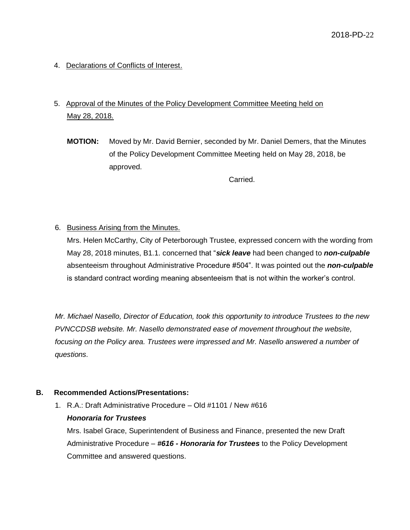4. Declarations of Conflicts of Interest.

# 5. Approval of the Minutes of the Policy Development Committee Meeting held on May 28, 2018.

**MOTION:** Moved by Mr. David Bernier, seconded by Mr. Daniel Demers, that the Minutes of the Policy Development Committee Meeting held on May 28, 2018, be approved.

Carried.

6. Business Arising from the Minutes.

Mrs. Helen McCarthy, City of Peterborough Trustee, expressed concern with the wording from May 28, 2018 minutes, B1.1. concerned that "*sick leave* had been changed to *non-culpable* absenteeism throughout Administrative Procedure #504". It was pointed out the *non-culpable* is standard contract wording meaning absenteeism that is not within the worker's control.

*Mr. Michael Nasello, Director of Education, took this opportunity to introduce Trustees to the new PVNCCDSB website. Mr. Nasello demonstrated ease of movement throughout the website, focusing on the Policy area. Trustees were impressed and Mr. Nasello answered a number of questions.*

#### **B. Recommended Actions/Presentations:**

1. R.A.: Draft Administrative Procedure – Old #1101 / New #616

# *Honoraria for Trustees*

Mrs. Isabel Grace, Superintendent of Business and Finance, presented the new Draft Administrative Procedure – *#616 - Honoraria for Trustees* to the Policy Development Committee and answered questions.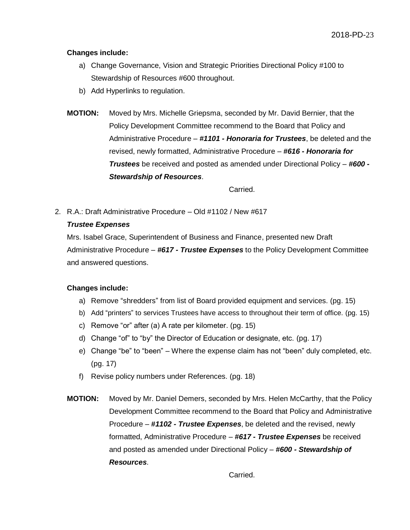#### **Changes include:**

- a) Change Governance, Vision and Strategic Priorities Directional Policy #100 to Stewardship of Resources #600 throughout.
- b) Add Hyperlinks to regulation.
- **MOTION:** Moved by Mrs. Michelle Griepsma, seconded by Mr. David Bernier, that the Policy Development Committee recommend to the Board that Policy and Administrative Procedure – *#1101 - Honoraria for Trustees*, be deleted and the revised, newly formatted, Administrative Procedure – *#616 - Honoraria for Trustees* be received and posted as amended under Directional Policy – *#600 - Stewardship of Resources*.

Carried.

2. R.A.: Draft Administrative Procedure – Old #1102 / New #617

#### *Trustee Expenses*

Mrs. Isabel Grace, Superintendent of Business and Finance, presented new Draft Administrative Procedure – *#617 - Trustee Expenses* to the Policy Development Committee and answered questions.

#### **Changes include:**

- a) Remove "shredders" from list of Board provided equipment and services. (pg. 15)
- b) Add "printers" to services Trustees have access to throughout their term of office. (pg. 15)
- c) Remove "or" after (a) A rate per kilometer. (pg. 15)
- d) Change "of" to "by" the Director of Education or designate, etc. (pg. 17)
- e) Change "be" to "been" Where the expense claim has not "been" duly completed, etc. (pg. 17)
- f) Revise policy numbers under References. (pg. 18)
- **MOTION:** Moved by Mr. Daniel Demers, seconded by Mrs. Helen McCarthy, that the Policy Development Committee recommend to the Board that Policy and Administrative Procedure – *#1102 - Trustee Expenses*, be deleted and the revised, newly formatted, Administrative Procedure – *#617 - Trustee Expenses* be received and posted as amended under Directional Policy – *#600 - Stewardship of Resources*.

Carried.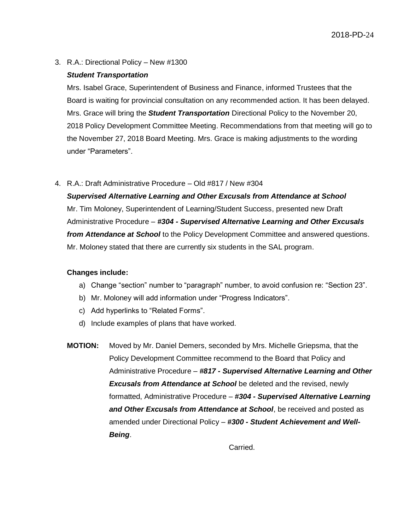3. R.A.: Directional Policy – New #1300

#### *Student Transportation*

Mrs. Isabel Grace, Superintendent of Business and Finance, informed Trustees that the Board is waiting for provincial consultation on any recommended action. It has been delayed. Mrs. Grace will bring the *Student Transportation* Directional Policy to the November 20, 2018 Policy Development Committee Meeting. Recommendations from that meeting will go to the November 27, 2018 Board Meeting. Mrs. Grace is making adjustments to the wording under "Parameters".

4. R.A.: Draft Administrative Procedure – Old #817 / New #304

*Supervised Alternative Learning and Other Excusals from Attendance at School* Mr. Tim Moloney, Superintendent of Learning/Student Success, presented new Draft Administrative Procedure – *#304 - Supervised Alternative Learning and Other Excusals from Attendance at School* to the Policy Development Committee and answered questions. Mr. Moloney stated that there are currently six students in the SAL program.

#### **Changes include:**

- a) Change "section" number to "paragraph" number, to avoid confusion re: "Section 23".
- b) Mr. Moloney will add information under "Progress Indicators".
- c) Add hyperlinks to "Related Forms".
- d) Include examples of plans that have worked.
- **MOTION:** Moved by Mr. Daniel Demers, seconded by Mrs. Michelle Griepsma, that the Policy Development Committee recommend to the Board that Policy and Administrative Procedure – *#817 - Supervised Alternative Learning and Other Excusals from Attendance at School* be deleted and the revised, newly formatted, Administrative Procedure – *#304 - Supervised Alternative Learning and Other Excusals from Attendance at School*, be received and posted as amended under Directional Policy – *#300 - Student Achievement and Well-Being*.

Carried.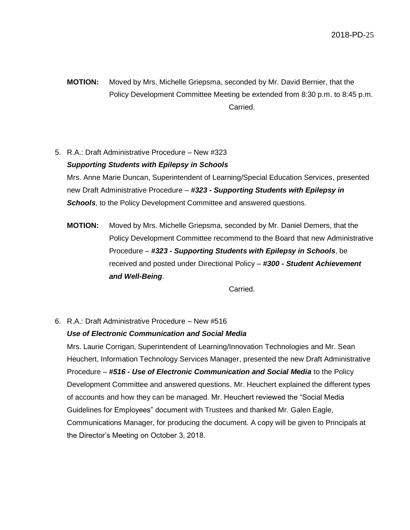**MOTION:** Moved by Mrs. Michelle Griepsma, seconded by Mr. David Bernier, that the Policy Development Committee Meeting be extended from 8:30 p.m. to 8:45 p.m. Carried.

5. R.A.: Draft Administrative Procedure – New #323 *Supporting Students with Epilepsy in Schools* Mrs. Anne Marie Duncan, Superintendent of Learning/Special Education Services, presented

new Draft Administrative Procedure – *#323 - Supporting Students with Epilepsy in*  **Schools**, to the Policy Development Committee and answered questions.

**MOTION:** Moved by Mrs. Michelle Griepsma, seconded by Mr. Daniel Demers, that the Policy Development Committee recommend to the Board that new Administrative Procedure – *#323 - Supporting Students with Epilepsy in Schools*, be received and posted under Directional Policy – *#300 - Student Achievement and Well-Being*.

Carried.

6. R.A.: Draft Administrative Procedure – New #516

#### *Use of Electronic Communication and Social Media*

Mrs. Laurie Corrigan, Superintendent of Learning/Innovation Technologies and Mr. Sean Heuchert, Information Technology Services Manager, presented the new Draft Administrative Procedure – *#516 - Use of Electronic Communication and Social Media* to the Policy Development Committee and answered questions. Mr. Heuchert explained the different types of accounts and how they can be managed. Mr. Heuchert reviewed the "Social Media Guidelines for Employees" document with Trustees and thanked Mr. Galen Eagle, Communications Manager, for producing the document. A copy will be given to Principals at the Director's Meeting on October 3, 2018.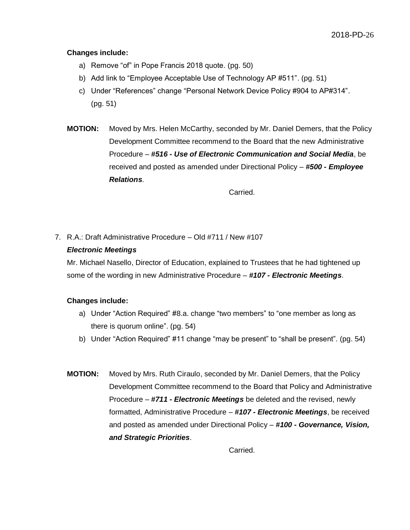#### **Changes include:**

- a) Remove "of" in Pope Francis 2018 quote. (pg. 50)
- b) Add link to "Employee Acceptable Use of Technology AP #511". (pg. 51)
- c) Under "References" change "Personal Network Device Policy #904 to AP#314". (pg. 51)
- **MOTION:** Moved by Mrs. Helen McCarthy, seconded by Mr. Daniel Demers, that the Policy Development Committee recommend to the Board that the new Administrative Procedure – *#516 - Use of Electronic Communication and Social Media*, be received and posted as amended under Directional Policy – *#500 - Employee Relations*.

Carried.

7. R.A.: Draft Administrative Procedure – Old #711 / New #107

#### *Electronic Meetings*

Mr. Michael Nasello, Director of Education, explained to Trustees that he had tightened up some of the wording in new Administrative Procedure – *#107 - Electronic Meetings*.

#### **Changes include:**

- a) Under "Action Required" #8.a. change "two members" to "one member as long as there is quorum online". (pg. 54)
- b) Under "Action Required" #11 change "may be present" to "shall be present". (pg. 54)
- **MOTION:** Moved by Mrs. Ruth Ciraulo, seconded by Mr. Daniel Demers, that the Policy Development Committee recommend to the Board that Policy and Administrative Procedure – *#711 - Electronic Meetings* be deleted and the revised, newly formatted, Administrative Procedure – *#107 - Electronic Meetings*, be received and posted as amended under Directional Policy – *#100 - Governance, Vision, and Strategic Priorities*.

Carried.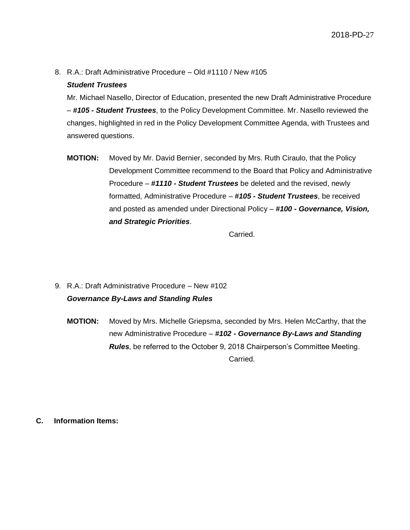8. R.A.: Draft Administrative Procedure – Old #1110 / New #105

#### *Student Trustees*

Mr. Michael Nasello, Director of Education, presented the new Draft Administrative Procedure – *#105 - Student Trustees*, to the Policy Development Committee. Mr. Nasello reviewed the changes, highlighted in red in the Policy Development Committee Agenda, with Trustees and answered questions.

**MOTION:** Moved by Mr. David Bernier, seconded by Mrs. Ruth Ciraulo, that the Policy Development Committee recommend to the Board that Policy and Administrative Procedure – *#1110 - Student Trustees* be deleted and the revised, newly formatted, Administrative Procedure – *#105 - Student Trustees*, be received and posted as amended under Directional Policy – *#100 - Governance, Vision, and Strategic Priorities*.

Carried.

- 9. R.A.: Draft Administrative Procedure New #102 *Governance By-Laws and Standing Rules*
	- **MOTION:** Moved by Mrs. Michelle Griepsma, seconded by Mrs. Helen McCarthy, that the new Administrative Procedure – *#102 - Governance By-Laws and Standing Rules*, be referred to the October 9, 2018 Chairperson's Committee Meeting. Carried.

**C. Information Items:**